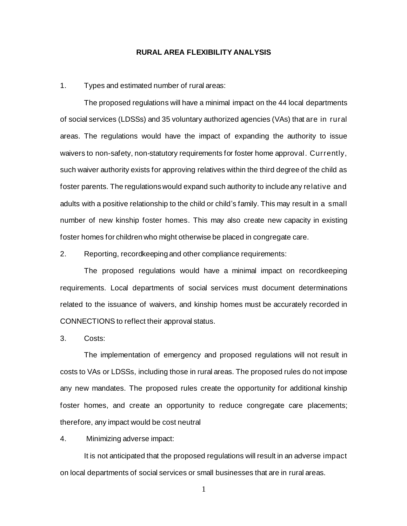## **RURAL AREA FLEXIBILITY ANALYSIS**

## 1. Types and estimated number of rural areas:

The proposed regulations will have a minimal impact on the 44 local departments of social services (LDSSs) and 35 voluntary authorized agencies (VAs) that are in rural areas. The regulations would have the impact of expanding the authority to issue waivers to non-safety, non-statutory requirements for foster home approval. Currently, such waiver authority exists for approving relatives within the third degree of the child as foster parents. The regulations would expand such authority to include any relative and adults with a positive relationship to the child or child's family. This may result in a small number of new kinship foster homes. This may also create new capacity in existing foster homes for children who might otherwise be placed in congregate care.

2. Reporting, recordkeeping and other compliance requirements:

The proposed regulations would have a minimal impact on recordkeeping requirements. Local departments of social services must document determinations related to the issuance of waivers, and kinship homes must be accurately recorded in CONNECTIONS to reflect their approval status.

3. Costs:

The implementation of emergency and proposed regulations will not result in costs to VAs or LDSSs, including those in rural areas. The proposed rules do not impose any new mandates. The proposed rules create the opportunity for additional kinship foster homes, and create an opportunity to reduce congregate care placements; therefore, any impact would be cost neutral

4. Minimizing adverse impact:

It is not anticipated that the proposed regulations will result in an adverse impact on local departments of social services or small businesses that are in rural areas.

1